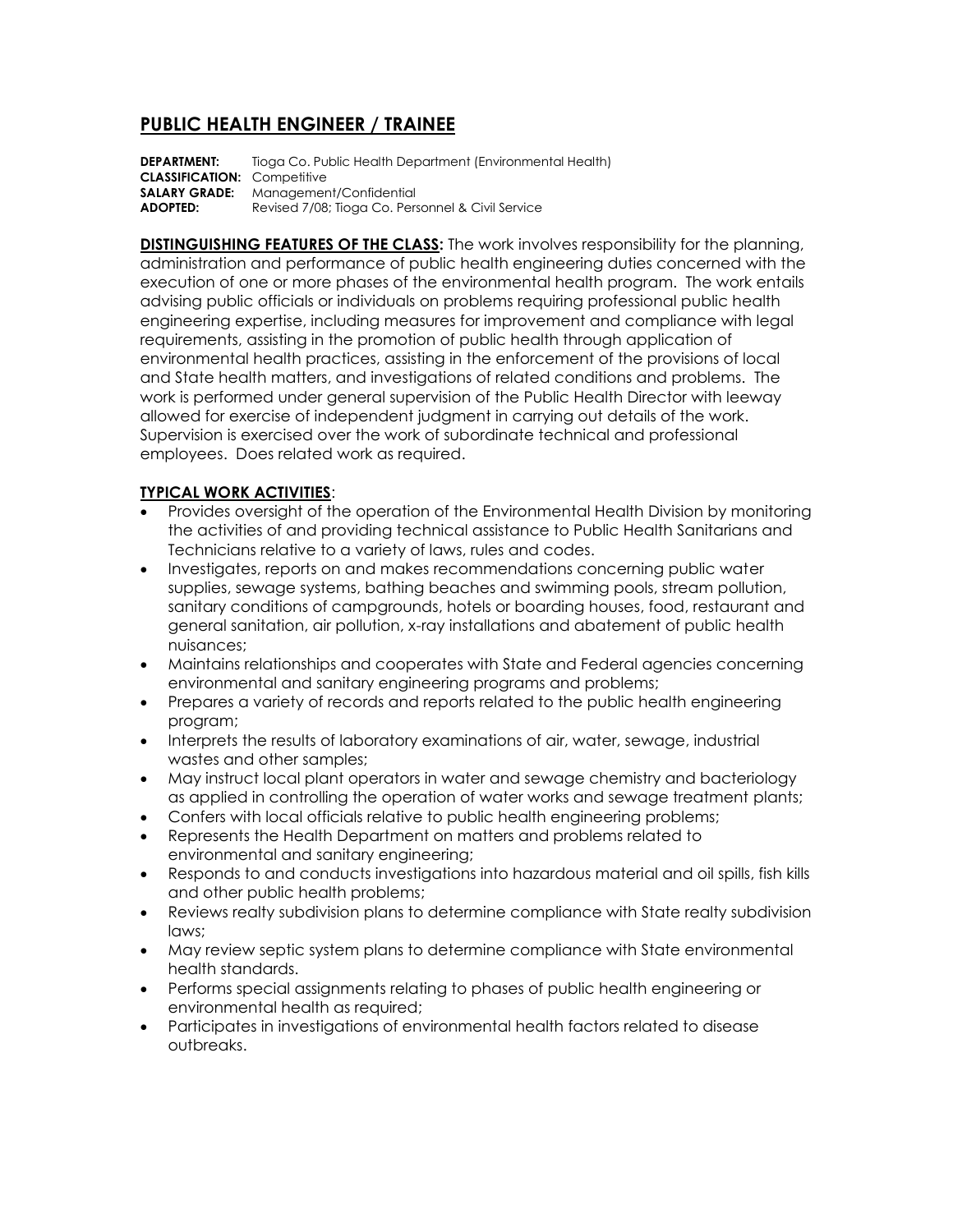# **PUBLIC HEALTH ENGINEER / TRAINEE**

**DEPARTMENT:** Tioga Co. Public Health Department (Environmental Health) **CLASSIFICATION:** Competitive **SALARY GRADE:** Management/Confidential **ADOPTED:** Revised 7/08; Tioga Co. Personnel & Civil Service

**DISTINGUISHING FEATURES OF THE CLASS:** The work involves responsibility for the planning, administration and performance of public health engineering duties concerned with the execution of one or more phases of the environmental health program. The work entails advising public officials or individuals on problems requiring professional public health engineering expertise, including measures for improvement and compliance with legal requirements, assisting in the promotion of public health through application of environmental health practices, assisting in the enforcement of the provisions of local and State health matters, and investigations of related conditions and problems. The work is performed under general supervision of the Public Health Director with leeway allowed for exercise of independent judgment in carrying out details of the work. Supervision is exercised over the work of subordinate technical and professional employees. Does related work as required.

## **TYPICAL WORK ACTIVITIES**:

- Provides oversight of the operation of the Environmental Health Division by monitoring the activities of and providing technical assistance to Public Health Sanitarians and Technicians relative to a variety of laws, rules and codes.
- Investigates, reports on and makes recommendations concerning public water supplies, sewage systems, bathing beaches and swimming pools, stream pollution, sanitary conditions of campgrounds, hotels or boarding houses, food, restaurant and general sanitation, air pollution, x-ray installations and abatement of public health nuisances;
- Maintains relationships and cooperates with State and Federal agencies concerning environmental and sanitary engineering programs and problems;
- Prepares a variety of records and reports related to the public health engineering program;
- Interprets the results of laboratory examinations of air, water, sewage, industrial wastes and other samples;
- May instruct local plant operators in water and sewage chemistry and bacteriology as applied in controlling the operation of water works and sewage treatment plants;
- Confers with local officials relative to public health engineering problems;
- Represents the Health Department on matters and problems related to environmental and sanitary engineering;
- Responds to and conducts investigations into hazardous material and oil spills, fish kills and other public health problems;
- Reviews realty subdivision plans to determine compliance with State realty subdivision laws;
- May review septic system plans to determine compliance with State environmental health standards.
- Performs special assignments relating to phases of public health engineering or environmental health as required;
- Participates in investigations of environmental health factors related to disease outbreaks.